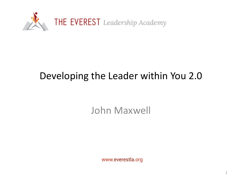

#### Developing the Leader within You 2.0

John Maxwell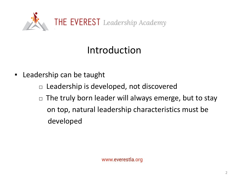

#### Introduction

- Leadership can be taught
	- $\Box$  Leadership is developed, not discovered
	- $\Box$  The truly born leader will always emerge, but to stay on top, natural leadership characteristics must be developed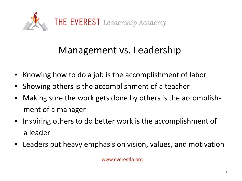

#### Management vs. Leadership

- Knowing how to do a job is the accomplishment of labor
- **EXED Showing others is the accomplishment of a teacher**
- Making sure the work gets done by others is the accomplishment of a manager
- Inspiring others to do better work is the accomplishment of a leader
- **EXT** Leaders put heavy emphasis on vision, values, and motivation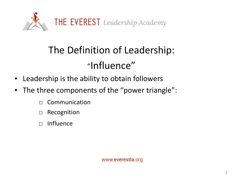

# The Definition of Leadership: "Influence"

- Leadership is the ability to obtain followers
- The three components of the "power triangle":
	- □ Communication
	- □ Recognition
	- □ Influence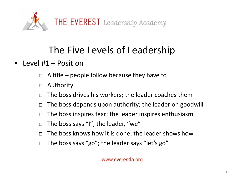

#### ■ Level #1 – Position

- $\Box$  A title people follow because they have to
- □ Authority
- $\Box$  The boss drives his workers; the leader coaches them
- $\Box$  The boss depends upon authority; the leader on goodwill
- $\Box$  The boss inspires fear; the leader inspires enthusiasm
- □ The boss says "I"; the leader, "we"
- $\Box$  The boss knows how it is done; the leader shows how
- $\Box$  The boss says "go"; the leader says "let's go"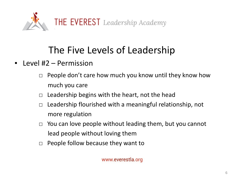

- Level #2 Permission
	- $\Box$  People don't care how much you know until they know how much you care
	- $\Box$  Leadership begins with the heart, not the head
	- $\Box$  Leadership flourished with a meaningful relationship, not more regulation
	- $\Box$  You can love people without leading them, but you cannot lead people without loving them
	- $\Box$  People follow because they want to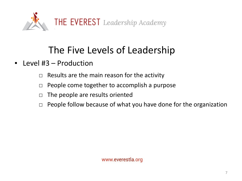

- Level #3 Production
	- $\Box$  Results are the main reason for the activity
	- □ People come together to accomplish a purpose
	- $\Box$  The people are results oriented
	- $\Box$  People follow because of what you have done for the organization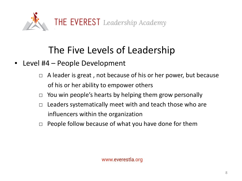

- Level #4 People Development
	- $\Box$  A leader is great, not because of his or her power, but because of his or her ability to empower others
	- $\Box$  You win people's hearts by helping them grow personally
	- $\Box$  Leaders systematically meet with and teach those who are influencers within the organization
	- $\Box$  People follow because of what you have done for them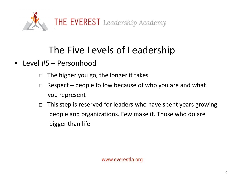

- Level #5 Personhood
	- $\Box$  The higher you go, the longer it takes
	- $\Box$  Respect people follow because of who you are and what you represent
	- $\Box$  This step is reserved for leaders who have spent years growing people and organizations. Few make it. Those who do are bigger than life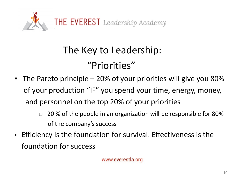

# The Key to Leadership: "Priorities"

- **•** The Pareto principle  $-20\%$  of your priorities will give you 80% of your production "IF" you spend your time, energy, money, and personnel on the top 20% of your priorities
	- $\Box$  20% of the people in an organization will be responsible for 80% of the company's success
- Efficiency is the foundation for survival. Effectiveness is the foundation for success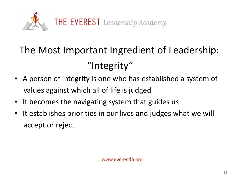

# The Most Important Ingredient of Leadership: "Integrity"

- A person of integrity is one who has established a system of values against which all of life is judged
- It becomes the navigating system that guides us
- It establishes priorities in our lives and judges what we will accept or reject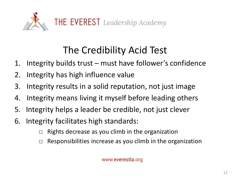

### The Credibility Acid Test

- 1. Integrity builds trust must have follower's confidence
- 2. Integrity has high influence value
- 3. Integrity results in a solid reputation, not just image
- 4. Integrity means living it myself before leading others
- 5. Integrity helps a leader be credible, not just clever
- 6. Integrity facilitates high standards:
	- $\Box$  Rights decrease as you climb in the organization
	- $\Box$  Responsibilities increase as you climb in the organization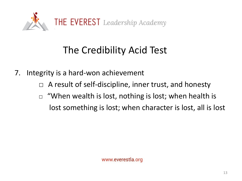

### The Credibility Acid Test

7. Integrity is a hard-won achievement

A result of self-discipline, inner trust, and honesty

 $\Box$  "When wealth is lost, nothing is lost; when health is lost something is lost; when character is lost, all is lost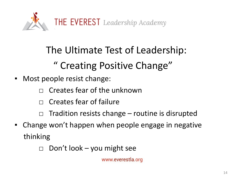

# The Ultimate Test of Leadership:

#### " Creating Positive Change"

- Most people resist change:
	- Creates fear of the unknown
	- $\Box$  Creates fear of failure
	- Tradition resists change  $-$  routine is disrupted
- Change won't happen when people engage in negative thinking
	- $\Box$  Don't look you might see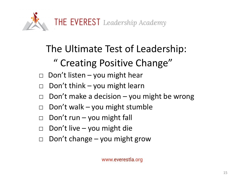

#### The Ultimate Test of Leadership:

## " Creating Positive Change"

- $\Box$  Don't listen you might hear
- $\Box$  Don't think you might learn
- $\Box$  Don't make a decision you might be wrong
- $\Box$  Don't walk you might stumble
- $\Box$  Don't run you might fall
- $\Box$  Don't live you might die
- $\Box$  Don't change you might grow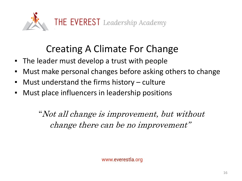

#### Creating A Climate For Change

- The leader must develop a trust with people
- Must make personal changes before asking others to change
- Must understand the firms history culture
- **EXECT** Must place influencers in leadership positions

"Not all change is improvement, but without change there can be no improvement"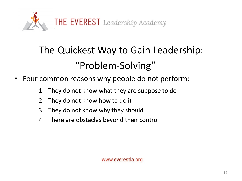

# The Quickest Way to Gain Leadership: "Problem-Solving"

- Four common reasons why people do not perform:
	- 1. They do not know what they are suppose to do
	- 2. They do not know how to do it
	- 3. They do not know why they should
	- 4. There are obstacles beyond their control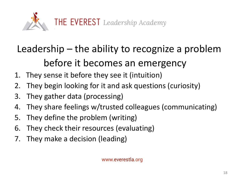

# Leadership – the ability to recognize a problem before it becomes an emergency

- 1. They sense it before they see it (intuition)
- 2. They begin looking for it and ask questions (curiosity)
- 3. They gather data (processing)
- 4. They share feelings w/trusted colleagues (communicating)
- 5. They define the problem (writing)
- 6. They check their resources (evaluating)
- 7. They make a decision (leading)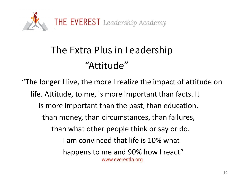

# The Extra Plus in Leadership "Attitude"

"The longer I live, the more I realize the impact of attitude on life. Attitude, to me, is more important than facts. It is more important than the past, than education, than money, than circumstances, than failures, than what other people think or say or do. I am convinced that life is 10% what happens to me and 90% how I react" www.everestla.org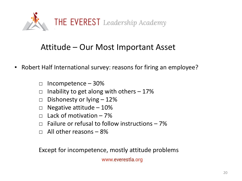

#### Attitude – Our Most Important Asset

- Robert Half International survey: reasons for firing an employee?
	- $\Box$  Incompetence 30%
	- $\Box$  Inability to get along with others  $-17\%$
	- $\Box$  Dishonesty or lying  $-12\%$
	- $\Box$  Negative attitude 10%
	- $\Box$  Lack of motivation 7%
	- $\Box$  Failure or refusal to follow instructions  $-7\%$
	- $\Box$  All other reasons  $-8\%$

Except for incompetence, mostly attitude problems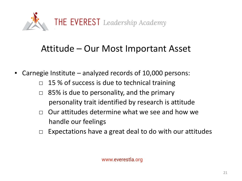

#### Attitude – Our Most Important Asset

- Carnegie Institute analyzed records of 10,000 persons:
	- $\Box$  15 % of success is due to technical training
	- $\Box$  85% is due to personality, and the primary personality trait identified by research is attitude
	- $\Box$  Our attitudes determine what we see and how we handle our feelings
	- $\Box$  Expectations have a great deal to do with our attitudes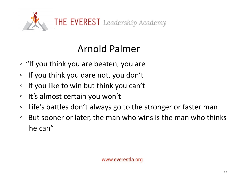

### Arnold Palmer

- "If you think you are beaten, you are
- If you think you dare not, you don't
- If you like to win but think you can't
- It's almost certain you won't
- Life's battles don't always go to the stronger or faster man
- But sooner or later, the man who wins is the man who thinks he can"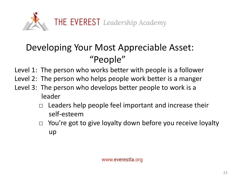

#### Developing Your Most Appreciable Asset: "People"

Level 1: The person who works better with people is a follower

- Level 2: The person who helps people work better is a manger
- Level 3: The person who develops better people to work is a leader
	- $\Box$  Leaders help people feel important and increase their self-esteem
	- □ You're got to give loyalty down before you receive loyalty up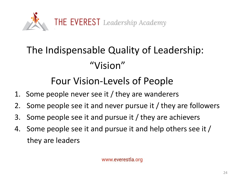

# The Indispensable Quality of Leadership: "Vision"

#### Four Vision-Levels of People

- 1. Some people never see it / they are wanderers
- 2. Some people see it and never pursue it / they are followers
- 3. Some people see it and pursue it / they are achievers
- 4. Some people see it and pursue it and help others see it / they are leaders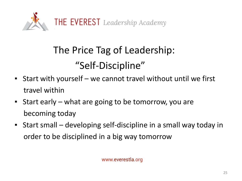

# The Price Tag of Leadership: "Self-Discipline"

- **EXA** Start with yourself we cannot travel without until we first travel within
- Start early what are going to be tomorrow, you are becoming today
- Start small developing self-discipline in a small way today in order to be disciplined in a big way tomorrow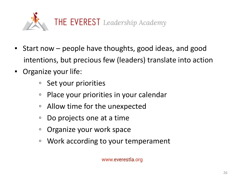

- Start now people have thoughts, good ideas, and good intentions, but precious few (leaders) translate into action
- Organize your life:
	- Set your priorities
	- Place your priorities in your calendar
	- Allow time for the unexpected
	- Do projects one at a time
	- Organize your work space
	- Work according to your temperament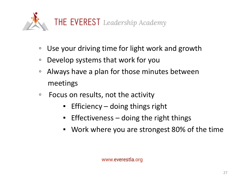

- Use your driving time for light work and growth
- Develop systems that work for you
- Always have a plan for those minutes between meetings
- Focus on results, not the activity
	- Efficiency doing things right
	- **Effectiveness doing the right things**
	- Work where you are strongest 80% of the time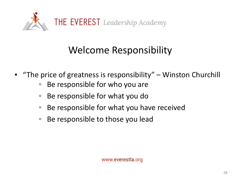

## Welcome Responsibility

- "The price of greatness is responsibility" Winston Churchill
	- Be responsible for who you are
	- Be responsible for what you do
	- Be responsible for what you have received
	- Be responsible to those you lead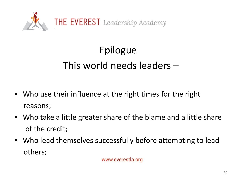

# Epilogue This world needs leaders –

- Who use their influence at the right times for the right reasons;
- Who take a little greater share of the blame and a little share of the credit;
- Who lead themselves successfully before attempting to lead others;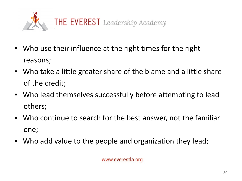

- Who use their influence at the right times for the right reasons;
- Who take a little greater share of the blame and a little share of the credit;
- Who lead themselves successfully before attempting to lead others;
- Who continue to search for the best answer, not the familiar one;
- Who add value to the people and organization they lead;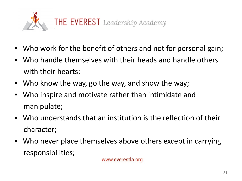

- Who work for the benefit of others and not for personal gain;
- Who handle themselves with their heads and handle others with their hearts;
- Who know the way, go the way, and show the way;
- Who inspire and motivate rather than intimidate and manipulate;
- Who understands that an institution is the reflection of their character;
- Who never place themselves above others except in carrying responsibilities;